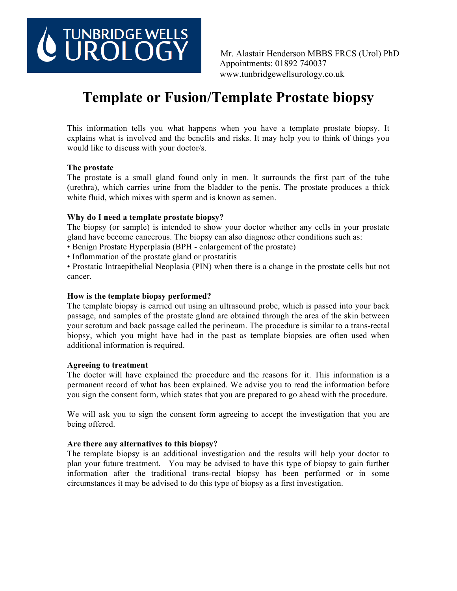# TUNBRIDGE WELLS<br>UROLOGY

Mr. Alastair Henderson MBBS FRCS (Urol) PhD Appointments: 01892 740037 www.tunbridgewellsurology.co.uk

# **Template or Fusion/Template Prostate biopsy**

This information tells you what happens when you have a template prostate biopsy. It explains what is involved and the benefits and risks. It may help you to think of things you would like to discuss with your doctor/s.

#### **The prostate**

The prostate is a small gland found only in men. It surrounds the first part of the tube (urethra), which carries urine from the bladder to the penis. The prostate produces a thick white fluid, which mixes with sperm and is known as semen.

#### **Why do I need a template prostate biopsy?**

The biopsy (or sample) is intended to show your doctor whether any cells in your prostate gland have become cancerous. The biopsy can also diagnose other conditions such as:

- Benign Prostate Hyperplasia (BPH enlargement of the prostate)
- Inflammation of the prostate gland or prostatitis
- Prostatic Intraepithelial Neoplasia (PIN) when there is a change in the prostate cells but not cancer.

#### **How is the template biopsy performed?**

The template biopsy is carried out using an ultrasound probe, which is passed into your back passage, and samples of the prostate gland are obtained through the area of the skin between your scrotum and back passage called the perineum. The procedure is similar to a trans-rectal biopsy, which you might have had in the past as template biopsies are often used when additional information is required.

#### **Agreeing to treatment**

The doctor will have explained the procedure and the reasons for it. This information is a permanent record of what has been explained. We advise you to read the information before you sign the consent form, which states that you are prepared to go ahead with the procedure.

We will ask you to sign the consent form agreeing to accept the investigation that you are being offered.

#### **Are there any alternatives to this biopsy?**

The template biopsy is an additional investigation and the results will help your doctor to plan your future treatment. You may be advised to have this type of biopsy to gain further information after the traditional trans-rectal biopsy has been performed or in some circumstances it may be advised to do this type of biopsy as a first investigation.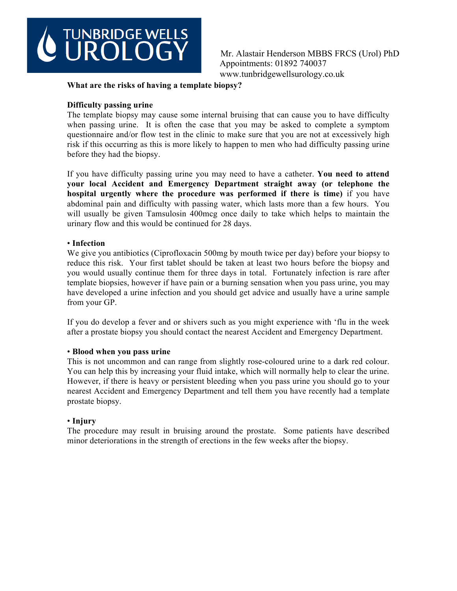

Mr. Alastair Henderson MBBS FRCS (Urol) PhD Appointments: 01892 740037 www.tunbridgewellsurology.co.uk

#### **What are the risks of having a template biopsy?**

#### **Difficulty passing urine**

The template biopsy may cause some internal bruising that can cause you to have difficulty when passing urine. It is often the case that you may be asked to complete a symptom questionnaire and/or flow test in the clinic to make sure that you are not at excessively high risk if this occurring as this is more likely to happen to men who had difficulty passing urine before they had the biopsy.

If you have difficulty passing urine you may need to have a catheter. **You need to attend your local Accident and Emergency Department straight away (or telephone the hospital urgently where the procedure was performed if there is time)** if you have abdominal pain and difficulty with passing water, which lasts more than a few hours. You will usually be given Tamsulosin 400mcg once daily to take which helps to maintain the urinary flow and this would be continued for 28 days.

#### • **Infection**

We give you antibiotics (Ciprofloxacin 500mg by mouth twice per day) before your biopsy to reduce this risk. Your first tablet should be taken at least two hours before the biopsy and you would usually continue them for three days in total. Fortunately infection is rare after template biopsies, however if have pain or a burning sensation when you pass urine, you may have developed a urine infection and you should get advice and usually have a urine sample from your GP.

If you do develop a fever and or shivers such as you might experience with 'flu in the week after a prostate biopsy you should contact the nearest Accident and Emergency Department.

#### • **Blood when you pass urine**

This is not uncommon and can range from slightly rose-coloured urine to a dark red colour. You can help this by increasing your fluid intake, which will normally help to clear the urine. However, if there is heavy or persistent bleeding when you pass urine you should go to your nearest Accident and Emergency Department and tell them you have recently had a template prostate biopsy.

#### • **Injury**

The procedure may result in bruising around the prostate. Some patients have described minor deteriorations in the strength of erections in the few weeks after the biopsy.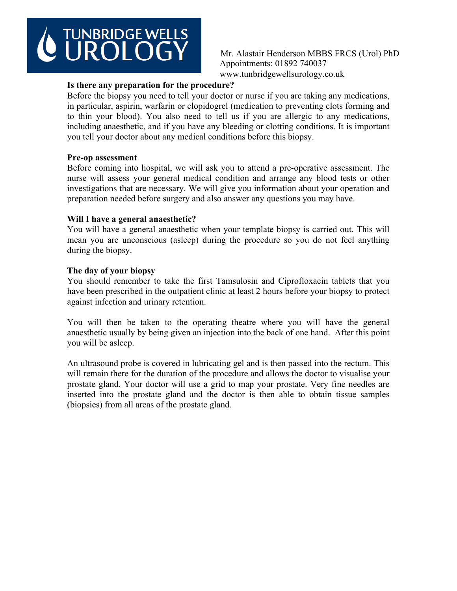# **TUNBRIDGE WELLS**

Mr. Alastair Henderson MBBS FRCS (Urol) PhD Appointments: 01892 740037 www.tunbridgewellsurology.co.uk

# **Is there any preparation for the procedure?**

Before the biopsy you need to tell your doctor or nurse if you are taking any medications, in particular, aspirin, warfarin or clopidogrel (medication to preventing clots forming and to thin your blood). You also need to tell us if you are allergic to any medications, including anaesthetic, and if you have any bleeding or clotting conditions. It is important you tell your doctor about any medical conditions before this biopsy.

# **Pre-op assessment**

Before coming into hospital, we will ask you to attend a pre-operative assessment. The nurse will assess your general medical condition and arrange any blood tests or other investigations that are necessary. We will give you information about your operation and preparation needed before surgery and also answer any questions you may have.

### **Will I have a general anaesthetic?**

You will have a general anaesthetic when your template biopsy is carried out. This will mean you are unconscious (asleep) during the procedure so you do not feel anything during the biopsy.

# **The day of your biopsy**

You should remember to take the first Tamsulosin and Ciprofloxacin tablets that you have been prescribed in the outpatient clinic at least 2 hours before your biopsy to protect against infection and urinary retention.

You will then be taken to the operating theatre where you will have the general anaesthetic usually by being given an injection into the back of one hand. After this point you will be asleep.

An ultrasound probe is covered in lubricating gel and is then passed into the rectum. This will remain there for the duration of the procedure and allows the doctor to visualise your prostate gland. Your doctor will use a grid to map your prostate. Very fine needles are inserted into the prostate gland and the doctor is then able to obtain tissue samples (biopsies) from all areas of the prostate gland.